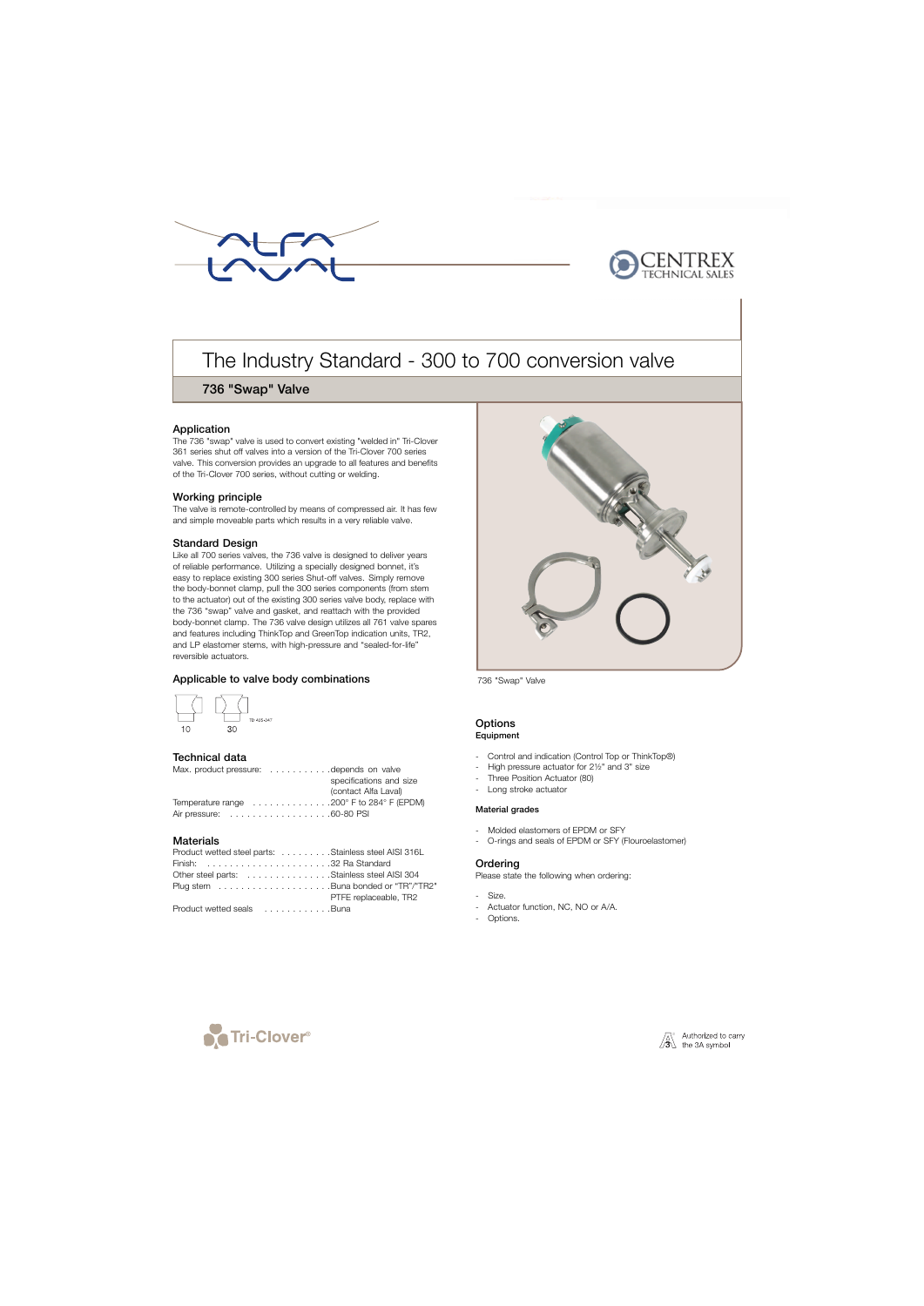



# The Industry Standard - 300 to 700 conversion valve

# 736 "Swap" Valve

## Application

The 736 "swap" valve is used to convert existing "welded in" Tri-Clover 361 series shut off valves into a version of the Tri-Clover 700 series valve. This conversion provides an upgrade to all features and benefits of the Tri-Clover 700 series, without cutting or welding.

## Working principle

The valve is remote-controlled by means of compressed air. It has few and simple moveable parts which results in a very reliable valve.

# Standard Design

Like all 700 series valves, the 736 valve is designed to deliver years of reliable performance. Utilizing a specially designed bonnet, it's easy to replace existing 300 series Shut-off valves. Simply remove the body-bonnet clamp, pull the 300 series components (from stem to the actuator) out of the existing 300 series valve body, replace with the 736 "swap" valve and gasket, and reattach with the provided body-bonnet clamp. The 736 valve design utilizes all 761 valve spares and features including ThinkTop and GreenTop indication units, TR2, and LP elastomer stems, with high-pressure and "sealed-for-life" reversible actuators.

# Applicable to valve body combinations



#### Technical data

| Max. product pressure: depends on valve                                               |
|---------------------------------------------------------------------------------------|
| specifications and size                                                               |
| (contact Alfa Laval)                                                                  |
| Temperature range $\ldots \ldots \ldots \ldots \ldots 200^{\circ}$ F to 284° F (EPDM) |
|                                                                                       |

## **Materials**

| Product wetted steel parts: Stainless steel AISI 316L |                       |
|-------------------------------------------------------|-----------------------|
|                                                       |                       |
| Other steel parts: Stainless steel AISI 304           |                       |
|                                                       |                       |
|                                                       | PTFE replaceable, TR2 |
| Product wetted seals Buna                             |                       |



736 "Swap" Valve

#### **Options** Equipment

- Control and indication (Control Top or ThinkTop®)
- High pressure actuator for 2½" and 3" size
- Three Position Actuator (80)
- Long stroke actuator

#### Material grades

- Molded elastomers of EPDM or SFY
- O-rings and seals of EPDM or SFY (Flouroelastomer)

#### **Ordering**

Please state the following when ordering:

- Size.
- Actuator function, NC, NO or A/A.
- Options.



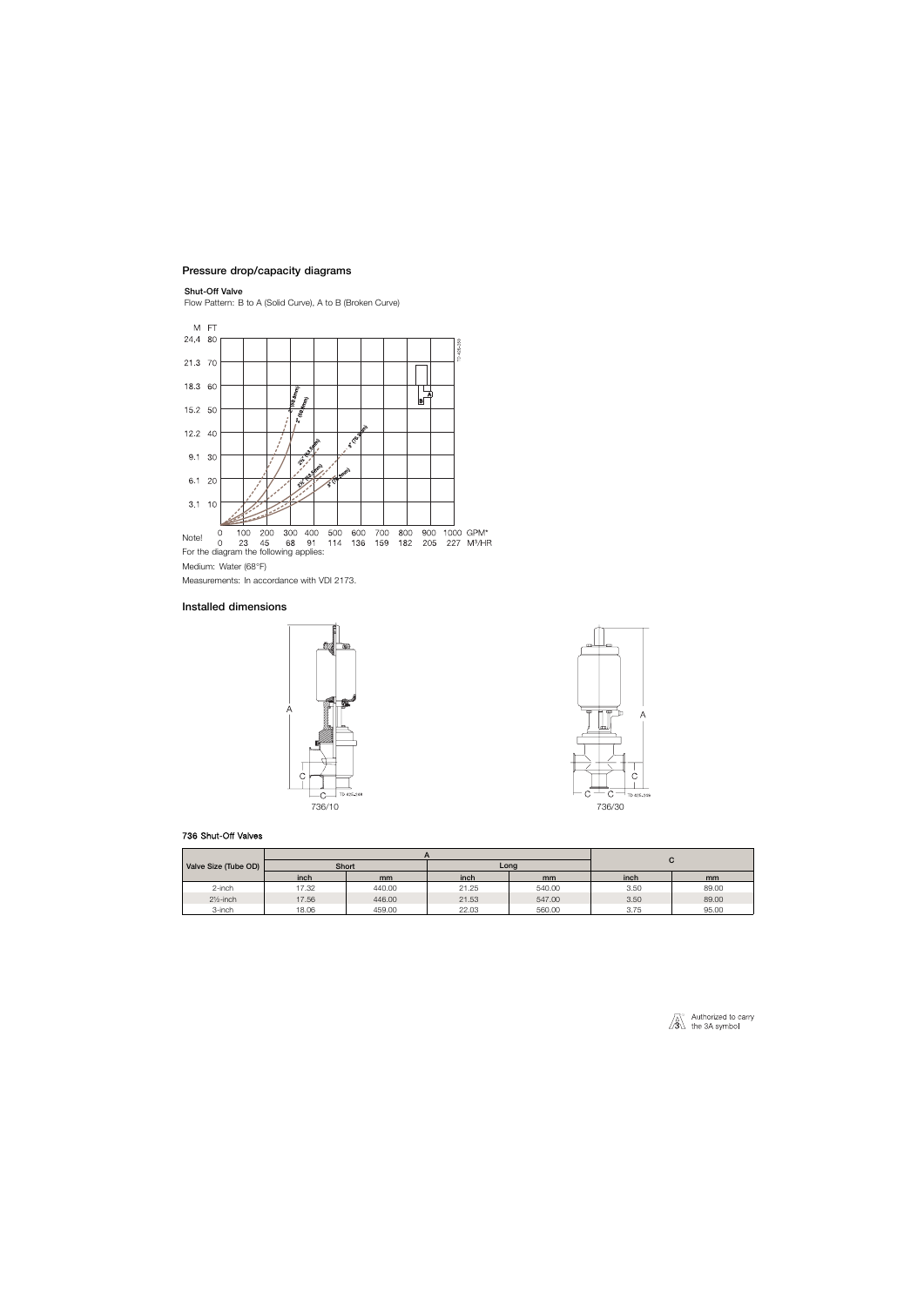# Pressure drop/capacity diagrams

#### Shut-Off Valve

Flow Pattern: B to A (Solid Curve), A to B (Broken Curve)



Medium: Water (68°F)

Measurements: In accordance with VDI 2173.

# Installed dimensions



## 736 Shut-Off Valves



| Valve Size (Tube OD) | Short |        | Long  |               | ັ    |               |
|----------------------|-------|--------|-------|---------------|------|---------------|
|                      | inch  | mm     | inch  | <sub>mm</sub> | inch | <sub>mm</sub> |
| 2-inch               | 17.32 | 440.00 | 21.25 | 540.00        | 3.50 | 89.00         |
| $2\frac{1}{2}$ -inch | 17.56 | 446.00 | 21.53 | 547.00        | 3.50 | 89.00         |
| 3-inch               | 18.06 | 459.00 | 22.03 | 560.00        | 3.75 | 95.00         |

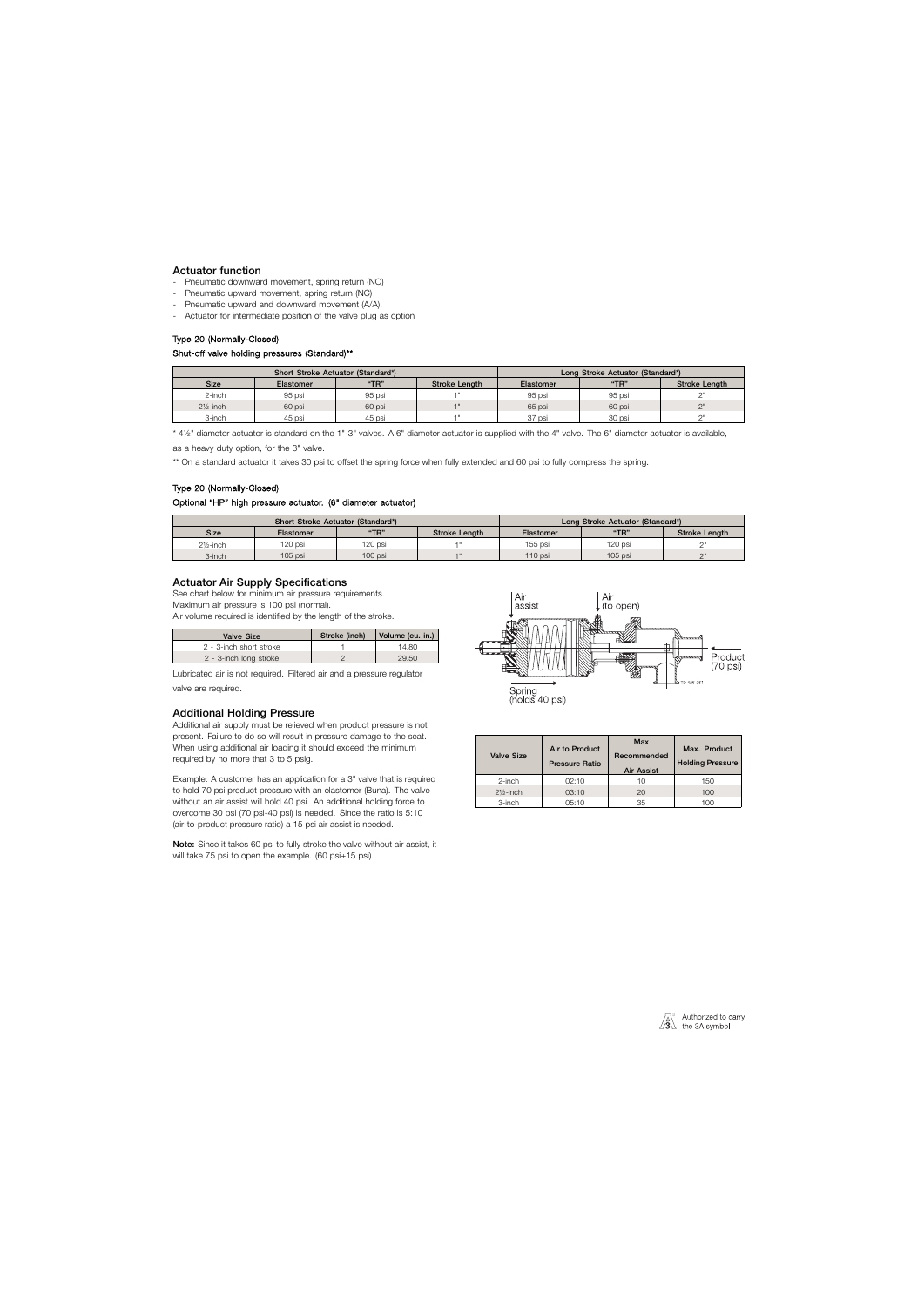# Actuator function

- Pneumatic downward movement, spring return (NO)
- Pneumatic upward movement, spring return (NC)
- Pneumatic upward and downward movement (A/A),
- Actuator for intermediate position of the valve plug as option

## Type 20 (Normally-Closed)

## Shut-off valve holding pressures (Standard)\*\*

| Short Stroke Actuator (Standard*) |           |        | Long Stroke Actuator (Standard*) |           |        |               |
|-----------------------------------|-----------|--------|----------------------------------|-----------|--------|---------------|
| <b>Size</b>                       | Elastomer | "TR"   | Stroke Length                    | Elastomer | "TR"   | Stroke Length |
| 2-inch                            | 95 psi    | 95 psi |                                  | 95 psi    | 95 psi |               |
| $2\frac{1}{2}$ -inch              | 60 psi    | 60 psi |                                  | 65 psi    | 60 psi | $\bigcap$     |
| 3-inch                            | 45 psi    | 45 psi |                                  | 37 psi    | 30 psi | $\bigcap$     |

\* 4½" diameter actuator is standard on the 1"-3" valves. A 6" diameter actuator is supplied with the 4" valve. The 6" diameter actuator is available,

as a heavy duty option, for the 3" valve.

\*\* On a standard actuator it takes 30 psi to offset the spring force when fully extended and 60 psi to fully compress the spring.

# Type 20 (Normally-Closed)

## Optional "HP" high pressure actuator. (6" diameter actuator)

| Short Stroke Actuator (Standard*) |           |         | Long Stroke Actuator (Standard*) |           |           |                      |
|-----------------------------------|-----------|---------|----------------------------------|-----------|-----------|----------------------|
| <b>Size</b>                       | Elastomer | "TR"    | <b>Stroke Lenath</b>             | Elastomer | "TR"      | <b>Stroke Lenath</b> |
| $2\frac{1}{2}$ -inch              | 120 psi   | 120 psi |                                  | 155 psi   | 120 psi   |                      |
| 3-inch                            | 105 psi   | 100 psi |                                  | 110 psi   | $105$ psi | $\bigcap$            |

# Actuator Air Supply Specifications

See chart below for minimum air pressure requirements.

Maximum air pressure is 100 psi (normal).

Air volume required is identified by the length of the stroke.

| Valve Size              | Stroke (inch) | Volume (cu. in.) |
|-------------------------|---------------|------------------|
| 2 - 3-inch short stroke |               | 14.80            |
| 2 - 3-inch long stroke  |               | 29.50            |

Lubricated air is not required. Filtered air and a pressure regulator valve are required.

# Additional Holding Pressure

Additional air supply must be relieved when product pressure is not present. Failure to do so will result in pressure damage to the seat. When using additional air loading it should exceed the minimum required by no more that 3 to 5 psig.

Example: A customer has an application for a 3" valve that is required to hold 70 psi product pressure with an elastomer (Buna). The valve without an air assist will hold 40 psi. An additional holding force to overcome 30 psi (70 psi-40 psi) is needed. Since the ratio is 5:10 (air-to-product pressure ratio) a 15 psi air assist is needed.

Note: Since it takes 60 psi to fully stroke the valve without air assist, it will take 75 psi to open the example. (60 psi+15 psi)





| <b>Valve Size</b>    | Air to Product<br><b>Pressure Ratio</b> | Max<br>Recommended<br>Air Assist | Max. Product<br><b>Holding Pressure</b> |
|----------------------|-----------------------------------------|----------------------------------|-----------------------------------------|
| 2-inch               | 02:10                                   | 10                               | 150                                     |
| $2\frac{1}{2}$ -inch | 03:10                                   | 20                               | 100                                     |
| 3-inch               | 05:10                                   | 35                               | 100                                     |